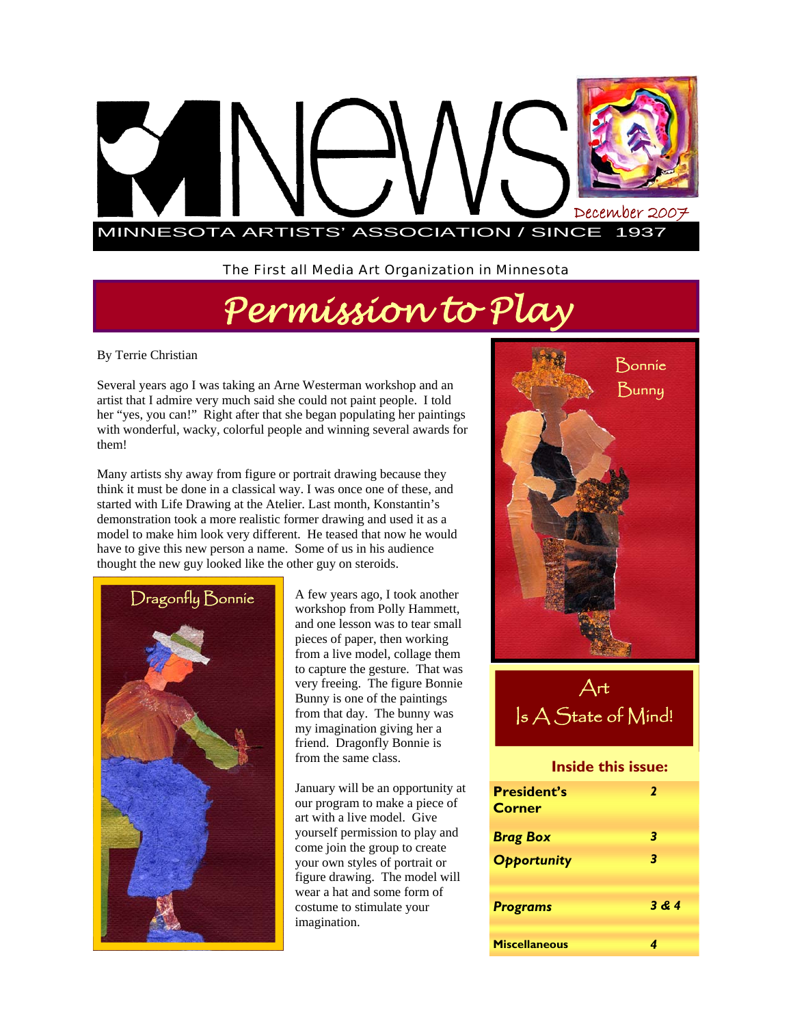

The First all Media Art Organization in Minnesota

# *Permission to Play*

By Terrie Christian

Several years ago I was taking an Arne Westerman workshop and an artist that I admire very much said she could not paint people. I told her "yes, you can!" Right after that she began populating her paintings with wonderful, wacky, colorful people and winning several awards for them!

Many artists shy away from figure or portrait drawing because they think it must be done in a classical way. I was once one of these, and started with Life Drawing at the Atelier. Last month, Konstantin's demonstration took a more realistic former drawing and used it as a model to make him look very different. He teased that now he would have to give this new person a name. Some of us in his audience thought the new guy looked like the other guy on steroids.



Dragonfly Bonnie A few years ago, I took another workshop from Polly Hammett, and one lesson was to tear small pieces of paper, then working from a live model, collage them to capture the gesture. That was very freeing. The figure Bonnie Bunny is one of the paintings from that day. The bunny was my imagination giving her a friend. Dragonfly Bonnie is from the same class.

> January will be an opportunity at our program to make a piece of art with a live model. Give yourself permission to play and come join the group to create your own styles of portrait or figure drawing. The model will wear a hat and some form of costume to stimulate your imagination.



Art Is A State of Mind!

#### **Inside this issue:**

| <b>President's</b><br><b>Corner</b> | 2     |
|-------------------------------------|-------|
| <b>Brag Box</b>                     | 3     |
| <b>Opportunity</b>                  | 3     |
| <b>Programs</b>                     | 3 & 4 |
|                                     |       |
| <b>Miscellaneous</b>                |       |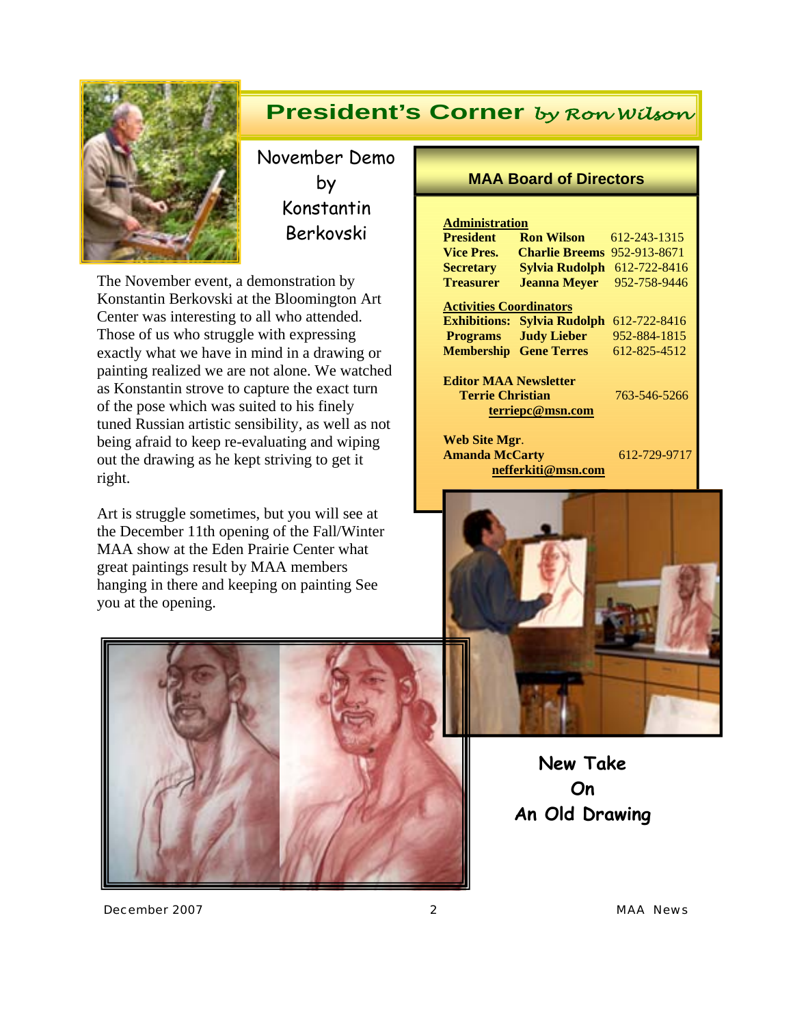

## **President's Corner** *by Ron Wilson*

November Demo by Konstantin Berkovski

The November event, a demonstration by Konstantin Berkovski at the Bloomington Art Center was interesting to all who attended. Those of us who struggle with expressing exactly what we have in mind in a drawing or painting realized we are not alone. We watched as Konstantin strove to capture the exact turn of the pose which was suited to his finely tuned Russian artistic sensibility, as well as not being afraid to keep re-evaluating and wiping out the drawing as he kept striving to get it right.

Art is struggle sometimes, but you will see at the December 11th opening of the Fall/Winter MAA show at the Eden Prairie Center what great paintings result by MAA members hanging in there and keeping on painting See you at the opening.



#### **MAA Board of Directors**

| <b>Administration</b>                                                                |                       |              |
|--------------------------------------------------------------------------------------|-----------------------|--------------|
| <b>President</b>                                                                     | <b>Ron Wilson</b>     | 612-243-1315 |
| <b>Vice Pres.</b>                                                                    | <b>Charlie Breems</b> | 952-913-8671 |
| <b>Secretary</b>                                                                     | Sylvia Rudolph        | 612-722-8416 |
| <b>Treasurer</b>                                                                     | <b>Jeanna Mever</b>   | 952-758-9446 |
| <b>Activities Coordinators</b>                                                       |                       |              |
| <b>Exhibitions:</b>                                                                  | <b>Sylvia Rudolph</b> | 612-722-8416 |
| <b>Programs</b>                                                                      | <b>Judy Lieber</b>    | 952-884-1815 |
| <b>Membership</b>                                                                    | <b>Gene Terres</b>    | 612-825-4512 |
| <b>Editor MAA Newsletter</b><br>Terrie Christian<br>763-546-5266<br>terriepc@msn.com |                       |              |
| Web Site Mgr.<br><b>Amanda McCarty</b>                                               | nefferkiti@msn.com    | 612-729-9717 |



**New Take On An Old Drawing** 

*December 2007 2 MAA News*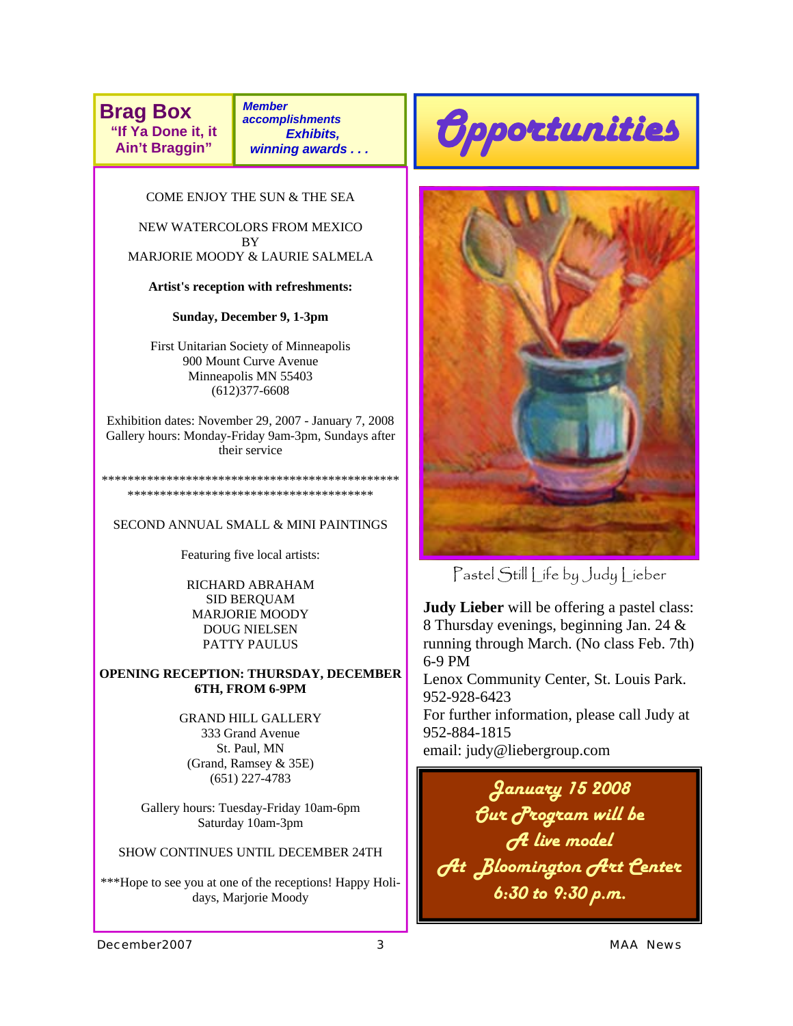**Brag Box "If Ya Done it, it Ain't Braggin"** 

*Member accomplishments Exhibits, winning awards . . .* 

COME ENJOY THE SUN & THE SEA

NEW WATERCOLORS FROM MEXICO **BY** MARJORIE MOODY & LAURIE SALMELA

**Artist's reception with refreshments:** 

**Sunday, December 9, 1-3pm**

First Unitarian Society of Minneapolis 900 Mount Curve Avenue Minneapolis MN 55403 (612)377-6608

Exhibition dates: November 29, 2007 - January 7, 2008 Gallery hours: Monday-Friday 9am-3pm, Sundays after their service

\*\*\*\*\*\*\*\*\*\*\*\*\*\*\*\*\*\*\*\*\*\*\*\*\*\*\*\*\*\*\*\*\*\*\*\*\*\*\*\*\*\*\*\*\*\* \*\*\*\*\*\*\*\*\*\*\*\*\*\*\*\*\*\*\*\*\*\*\*\*\*\*\*\*\*\*\*\*\*\*\*\*\*\*

SECOND ANNUAL SMALL & MINI PAINTINGS

Featuring five local artists:

RICHARD ABRAHAM SID BERQUAM MARJORIE MOODY DOUG NIELSEN PATTY PAULUS

**OPENING RECEPTION: THURSDAY, DECEMBER 6TH, FROM 6-9PM** 

> GRAND HILL GALLERY 333 Grand Avenue St. Paul, MN (Grand, Ramsey & 35E) (651) 227-4783

Gallery hours: Tuesday-Friday 10am-6pm Saturday 10am-3pm

SHOW CONTINUES UNTIL DECEMBER 24TH

\*\*\*Hope to see you at one of the receptions! Happy Holidays, Marjorie Moody





Pastel Still Life by Judy Lieber

**Judy Lieber** will be offering a pastel class: 8 Thursday evenings, beginning Jan. 24 & running through March. (No class Feb. 7th) 6-9 PM

Lenox Community Center, St. Louis Park. 952-928-6423

For further information, please call Judy at 952-884-1815

email: judy@liebergroup.com

*January 15 2008 Our Program will be A live model At Bloomington Art Center 6:30 to 9:30 p.m.*